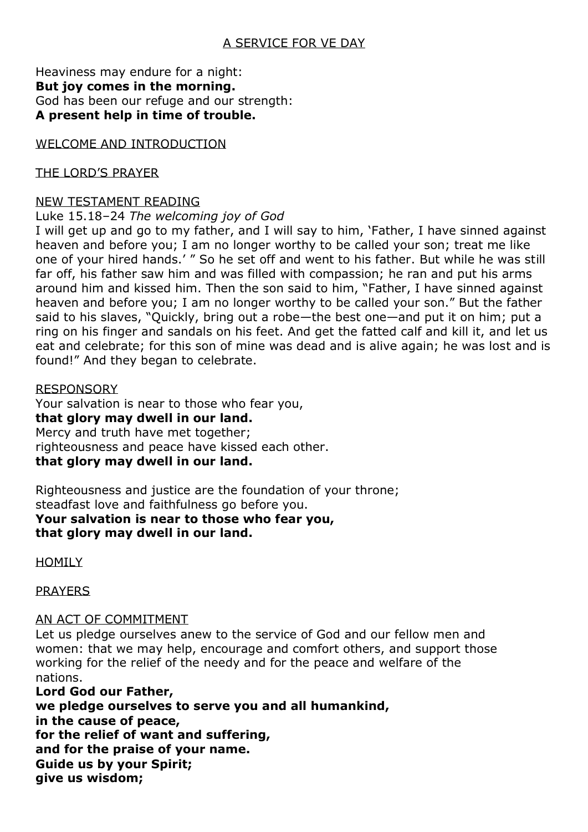# A SERVICE FOR VE DAY

Heaviness may endure for a night: **But joy comes in the morning.** God has been our refuge and our strength: **A present help in time of trouble.**

# WELCOME AND INTRODUCTION

# THE LORD'S PRAYER

## NEW TESTAMENT READING

## Luke 15.18–24 *The welcoming joy of God*

I will get up and go to my father, and I will say to him, 'Father, I have sinned against heaven and before you; I am no longer worthy to be called your son; treat me like one of your hired hands.' " So he set off and went to his father. But while he was still far off, his father saw him and was filled with compassion; he ran and put his arms around him and kissed him. Then the son said to him, "Father, I have sinned against heaven and before you; I am no longer worthy to be called your son." But the father said to his slaves, "Quickly, bring out a robe—the best one—and put it on him; put a ring on his finger and sandals on his feet. And get the fatted calf and kill it, and let us eat and celebrate; for this son of mine was dead and is alive again; he was lost and is found!" And they began to celebrate.

## RESPONSORY

Your salvation is near to those who fear you, **that glory may dwell in our land.** Mercy and truth have met together; righteousness and peace have kissed each other. **that glory may dwell in our land.**

Righteousness and justice are the foundation of your throne; steadfast love and faithfulness go before you. **Your salvation is near to those who fear you, that glory may dwell in our land.**

HOMILY

PRAYERS

## AN ACT OF COMMITMENT

Let us pledge ourselves anew to the service of God and our fellow men and women: that we may help, encourage and comfort others, and support those working for the relief of the needy and for the peace and welfare of the nations.

**Lord God our Father, we pledge ourselves to serve you and all humankind, in the cause of peace, for the relief of want and suffering, and for the praise of your name. Guide us by your Spirit; give us wisdom;**